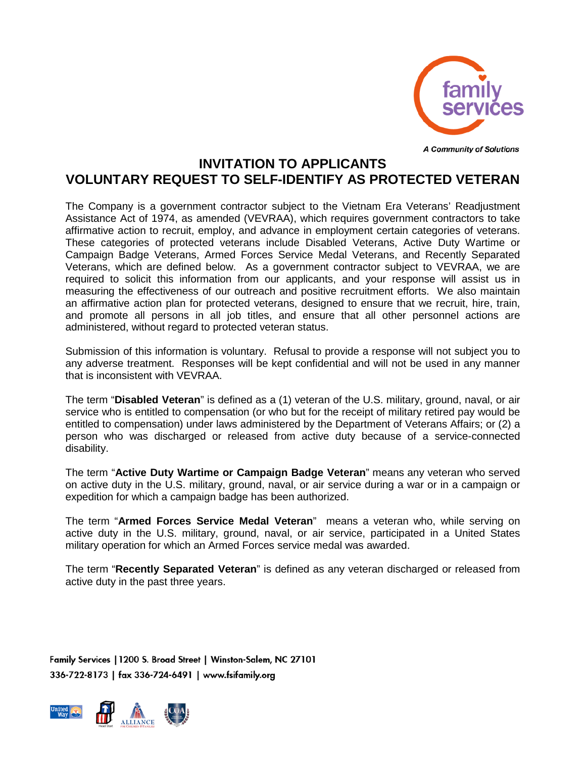

**A Community of Solutions** 

## **INVITATION TO APPLICANTS VOLUNTARY REQUEST TO SELF-IDENTIFY AS PROTECTED VETERAN**

The Company is a government contractor subject to the Vietnam Era Veterans' Readjustment Assistance Act of 1974, as amended (VEVRAA), which requires government contractors to take affirmative action to recruit, employ, and advance in employment certain categories of veterans. These categories of protected veterans include Disabled Veterans, Active Duty Wartime or Campaign Badge Veterans, Armed Forces Service Medal Veterans, and Recently Separated Veterans, which are defined below. As a government contractor subject to VEVRAA, we are required to solicit this information from our applicants, and your response will assist us in measuring the effectiveness of our outreach and positive recruitment efforts. We also maintain an affirmative action plan for protected veterans, designed to ensure that we recruit, hire, train, and promote all persons in all job titles, and ensure that all other personnel actions are administered, without regard to protected veteran status.

Submission of this information is voluntary. Refusal to provide a response will not subject you to any adverse treatment. Responses will be kept confidential and will not be used in any manner that is inconsistent with VEVRAA.

The term "**Disabled Veteran**" is defined as a (1) veteran of the U.S. military, ground, naval, or air service who is entitled to compensation (or who but for the receipt of military retired pay would be entitled to compensation) under laws administered by the Department of Veterans Affairs; or (2) a person who was discharged or released from active duty because of a service-connected disability.

The term "**Active Duty Wartime or Campaign Badge Veteran**" means any veteran who served on active duty in the U.S. military, ground, naval, or air service during a war or in a campaign or expedition for which a campaign badge has been authorized.

The term "**Armed Forces Service Medal Veteran**" means a veteran who, while serving on active duty in the U.S. military, ground, naval, or air service, participated in a United States military operation for which an Armed Forces service medal was awarded.

The term "**Recently Separated Veteran**" is defined as any veteran discharged or released from active duty in the past three years.

Family Services | 1200 S. Broad Street | Winston-Salem, NC 27101 336-722-8173 | fax 336-724-6491 | www.fsifamily.org